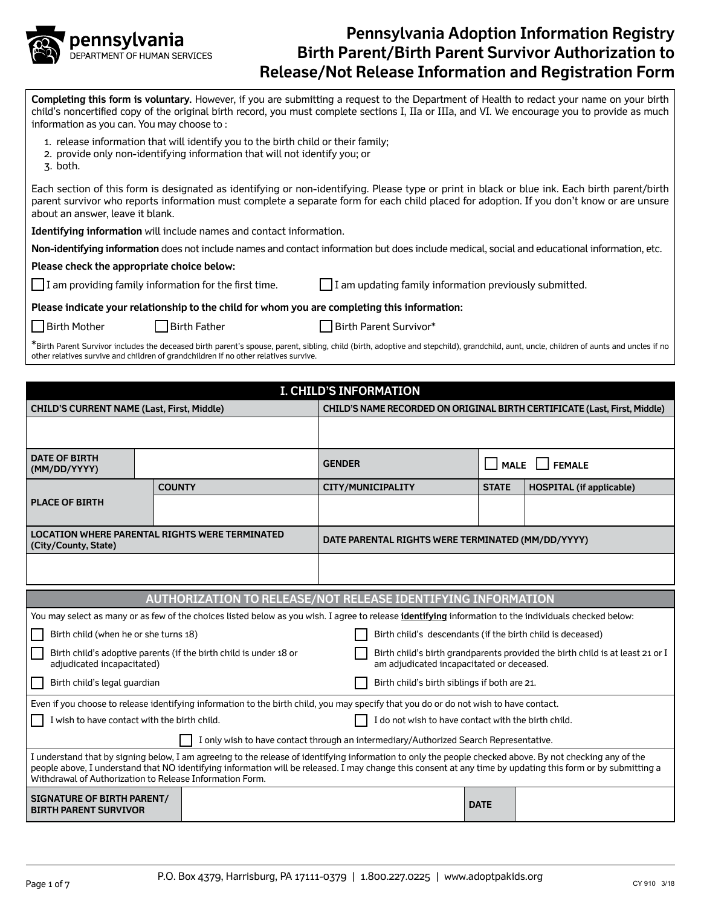

**Completing this form is voluntary.** However, if you are submitting a request to the Department of Health to redact your name on your birth child's noncertified copy of the original birth record, you must complete sections I, IIa or IIIa, and VI. We encourage you to provide as much information as you can. You may choose to :

- 1. release information that will identify you to the birth child or their family;
- 2. provide only non-identifying information that will not identify you; or
- 3. both.

Each section of this form is designated as identifying or non-identifying. Please type or print in black or blue ink. Each birth parent/birth parent survivor who reports information must complete a separate form for each child placed for adoption. If you don't know or are unsure about an answer, leave it blank.

**Identifying information** will include names and contact information.

**Non-identifying information** does not include names and contact information but does include medical, social and educational information, etc.

**Please check the appropriate choice below:**

I am providing family information for the first time.  $\Box$  I am updating family information previously submitted.

**Please indicate your relationship to the child for whom you are completing this information:**

| <b>Birth Mother</b> |  |
|---------------------|--|
|---------------------|--|

Birth Father **Birth Parent Survivor**\*

\*Birth Parent Survivor includes the deceased birth parent's spouse, parent, sibling, child (birth, adoptive and stepchild), grandchild, aunt, uncle, children of aunts and uncles if no other relatives survive and children of grandchildren if no other relatives survive.

| <b>I. CHILD'S INFORMATION</b>                                                                                                                                                                                                                                                                                                                                                       |               |                                                                                                                                                               |                                                            |                                                                                                                            |              |                                                                           |  |  |
|-------------------------------------------------------------------------------------------------------------------------------------------------------------------------------------------------------------------------------------------------------------------------------------------------------------------------------------------------------------------------------------|---------------|---------------------------------------------------------------------------------------------------------------------------------------------------------------|------------------------------------------------------------|----------------------------------------------------------------------------------------------------------------------------|--------------|---------------------------------------------------------------------------|--|--|
| <b>CHILD'S CURRENT NAME (Last, First, Middle)</b>                                                                                                                                                                                                                                                                                                                                   |               |                                                                                                                                                               |                                                            |                                                                                                                            |              | CHILD'S NAME RECORDED ON ORIGINAL BIRTH CERTIFICATE (Last, First, Middle) |  |  |
|                                                                                                                                                                                                                                                                                                                                                                                     |               |                                                                                                                                                               |                                                            |                                                                                                                            |              |                                                                           |  |  |
| <b>DATE OF BIRTH</b><br>(MM/DD/YYYY)                                                                                                                                                                                                                                                                                                                                                |               |                                                                                                                                                               | <b>GENDER</b>                                              |                                                                                                                            | <b>MALE</b>  | <b>FEMALE</b>                                                             |  |  |
|                                                                                                                                                                                                                                                                                                                                                                                     | <b>COUNTY</b> |                                                                                                                                                               |                                                            | CITY/MUNICIPALITY                                                                                                          | <b>STATE</b> | <b>HOSPITAL (if applicable)</b>                                           |  |  |
| <b>PLACE OF BIRTH</b>                                                                                                                                                                                                                                                                                                                                                               |               |                                                                                                                                                               |                                                            |                                                                                                                            |              |                                                                           |  |  |
| <b>LOCATION WHERE PARENTAL RIGHTS WERE TERMINATED</b><br>(City/County, State)                                                                                                                                                                                                                                                                                                       |               |                                                                                                                                                               |                                                            | DATE PARENTAL RIGHTS WERE TERMINATED (MM/DD/YYYY)                                                                          |              |                                                                           |  |  |
|                                                                                                                                                                                                                                                                                                                                                                                     |               |                                                                                                                                                               |                                                            |                                                                                                                            |              |                                                                           |  |  |
|                                                                                                                                                                                                                                                                                                                                                                                     |               | AUTHORIZATION TO RELEASE/NOT RELEASE IDENTIFYING INFORMATION                                                                                                  |                                                            |                                                                                                                            |              |                                                                           |  |  |
|                                                                                                                                                                                                                                                                                                                                                                                     |               |                                                                                                                                                               |                                                            |                                                                                                                            |              |                                                                           |  |  |
|                                                                                                                                                                                                                                                                                                                                                                                     |               | You may select as many or as few of the choices listed below as you wish. I agree to release <i>identifying</i> information to the individuals checked below: |                                                            |                                                                                                                            |              |                                                                           |  |  |
| Birth child (when he or she turns 18)                                                                                                                                                                                                                                                                                                                                               |               |                                                                                                                                                               | Birth child's descendants (if the birth child is deceased) |                                                                                                                            |              |                                                                           |  |  |
| Birth child's adoptive parents (if the birth child is under 18 or<br>adjudicated incapacitated)                                                                                                                                                                                                                                                                                     |               |                                                                                                                                                               |                                                            | Birth child's birth grandparents provided the birth child is at least 21 or I<br>am adjudicated incapacitated or deceased. |              |                                                                           |  |  |
| Birth child's legal guardian                                                                                                                                                                                                                                                                                                                                                        |               |                                                                                                                                                               | Birth child's birth siblings if both are 21.               |                                                                                                                            |              |                                                                           |  |  |
|                                                                                                                                                                                                                                                                                                                                                                                     |               | Even if you choose to release identifying information to the birth child, you may specify that you do or do not wish to have contact.                         |                                                            |                                                                                                                            |              |                                                                           |  |  |
| I wish to have contact with the birth child.                                                                                                                                                                                                                                                                                                                                        |               |                                                                                                                                                               |                                                            | I do not wish to have contact with the birth child.                                                                        |              |                                                                           |  |  |
| I only wish to have contact through an intermediary/Authorized Search Representative.                                                                                                                                                                                                                                                                                               |               |                                                                                                                                                               |                                                            |                                                                                                                            |              |                                                                           |  |  |
| I understand that by signing below, I am agreeing to the release of identifying information to only the people checked above. By not checking any of the<br>people above, I understand that NO identifying information will be released. I may change this consent at any time by updating this form or by submitting a<br>Withdrawal of Authorization to Release Information Form. |               |                                                                                                                                                               |                                                            |                                                                                                                            |              |                                                                           |  |  |
| <b>SIGNATURE OF BIRTH PARENT/</b><br><b>BIRTH PARENT SURVIVOR</b>                                                                                                                                                                                                                                                                                                                   |               |                                                                                                                                                               |                                                            |                                                                                                                            | <b>DATE</b>  |                                                                           |  |  |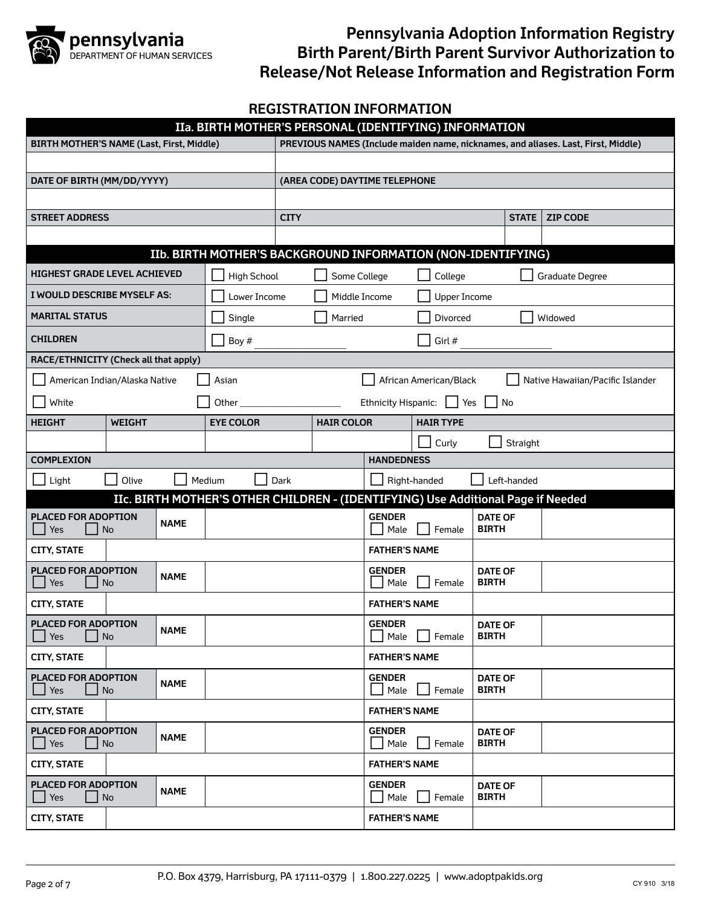

## **REGISTRATION INFORMATION**

| IIa. BIRTH MOTHER'S PERSONAL (IDENTIFYING) INFORMATION      |                                                                                  |                                                              |                                 |                   |                       |                        |                                |                                                                                   |  |
|-------------------------------------------------------------|----------------------------------------------------------------------------------|--------------------------------------------------------------|---------------------------------|-------------------|-----------------------|------------------------|--------------------------------|-----------------------------------------------------------------------------------|--|
| <b>BIRTH MOTHER'S NAME (Last, First, Middle)</b>            |                                                                                  |                                                              |                                 |                   |                       |                        |                                | PREVIOUS NAMES (Include maiden name, nicknames, and aliases. Last, First, Middle) |  |
|                                                             |                                                                                  |                                                              |                                 |                   |                       |                        |                                |                                                                                   |  |
| (AREA CODE) DAYTIME TELEPHONE<br>DATE OF BIRTH (MM/DD/YYYY) |                                                                                  |                                                              |                                 |                   |                       |                        |                                |                                                                                   |  |
|                                                             |                                                                                  |                                                              |                                 |                   |                       |                        |                                |                                                                                   |  |
| <b>STREET ADDRESS</b>                                       |                                                                                  |                                                              | <b>CITY</b>                     |                   |                       |                        | <b>STATE</b>                   | <b>ZIP CODE</b>                                                                   |  |
|                                                             |                                                                                  |                                                              |                                 |                   |                       |                        |                                |                                                                                   |  |
|                                                             |                                                                                  | IIb. BIRTH MOTHER'S BACKGROUND INFORMATION (NON-IDENTIFYING) |                                 |                   |                       |                        |                                |                                                                                   |  |
|                                                             | HIGHEST GRADE LEVEL ACHIEVED                                                     | <b>High School</b>                                           |                                 | Some College      |                       | College                |                                | Graduate Degree                                                                   |  |
| I WOULD DESCRIBE MYSELF AS:                                 |                                                                                  | Lower Income                                                 |                                 | Middle Income     |                       | <b>Upper Income</b>    |                                |                                                                                   |  |
| <b>MARITAL STATUS</b>                                       |                                                                                  | Single                                                       |                                 | Married           |                       | Divorced               |                                | Widowed                                                                           |  |
| <b>CHILDREN</b>                                             |                                                                                  | Boy #                                                        |                                 |                   |                       | Girl #                 |                                |                                                                                   |  |
|                                                             | RACE/ETHNICITY (Check all that apply)                                            |                                                              |                                 |                   |                       |                        |                                |                                                                                   |  |
|                                                             | American Indian/Alaska Native                                                    | Asian                                                        |                                 |                   |                       | African American/Black |                                | Native Hawaiian/Pacific Islander                                                  |  |
| White<br>Other                                              |                                                                                  |                                                              |                                 |                   | Ethnicity Hispanic:   | Yes                    | No                             |                                                                                   |  |
| <b>HEIGHT</b>                                               | <b>WEIGHT</b>                                                                    | <b>EYE COLOR</b>                                             |                                 | <b>HAIR COLOR</b> |                       | <b>HAIR TYPE</b>       |                                |                                                                                   |  |
|                                                             |                                                                                  |                                                              |                                 |                   | Curly<br>Straight     |                        |                                |                                                                                   |  |
| <b>COMPLEXION</b>                                           |                                                                                  |                                                              |                                 |                   | <b>HANDEDNESS</b>     |                        |                                |                                                                                   |  |
| Light                                                       | Olive                                                                            | Medium                                                       | Dark                            |                   |                       | Right-handed           | Left-handed                    |                                                                                   |  |
|                                                             | IIc. BIRTH MOTHER'S OTHER CHILDREN - (IDENTIFYING) Use Additional Page if Needed |                                                              |                                 |                   |                       |                        |                                |                                                                                   |  |
| <b>PLACED FOR ADOPTION</b><br>Yes                           | <b>NAME</b><br>No                                                                |                                                              |                                 |                   | <b>GENDER</b><br>Male | Female                 | <b>DATE OF</b><br><b>BIRTH</b> |                                                                                   |  |
| <b>CITY, STATE</b>                                          |                                                                                  |                                                              |                                 |                   | <b>FATHER'S NAME</b>  |                        |                                |                                                                                   |  |
| PLACED FOR ADOPTION<br>Yes                                  | <b>NAME</b><br>No                                                                |                                                              | <b>GENDER</b><br>Female<br>Male |                   |                       |                        | <b>DATE OF</b><br><b>BIRTH</b> |                                                                                   |  |
| <b>CITY, STATE</b>                                          |                                                                                  |                                                              |                                 |                   | <b>FATHER'S NAME</b>  |                        |                                |                                                                                   |  |
| <b>PLACED FOR ADOPTION</b><br>Yes                           | <b>NAME</b><br>No                                                                |                                                              |                                 |                   | <b>GENDER</b><br>Male | Female                 | <b>DATE OF</b><br><b>BIRTH</b> |                                                                                   |  |
| <b>CITY, STATE</b>                                          |                                                                                  |                                                              |                                 |                   | <b>FATHER'S NAME</b>  |                        |                                |                                                                                   |  |
| <b>PLACED FOR ADOPTION</b><br>Yes                           | <b>NAME</b><br>No                                                                |                                                              |                                 |                   | <b>GENDER</b><br>Male | Female                 | <b>DATE OF</b><br><b>BIRTH</b> |                                                                                   |  |
| <b>CITY, STATE</b>                                          |                                                                                  |                                                              |                                 |                   | <b>FATHER'S NAME</b>  |                        |                                |                                                                                   |  |
| PLACED FOR ADOPTION<br>Yes                                  | <b>NAME</b><br>No                                                                |                                                              |                                 |                   | <b>GENDER</b><br>Male | Female                 | <b>DATE OF</b><br><b>BIRTH</b> |                                                                                   |  |
| <b>CITY, STATE</b>                                          |                                                                                  |                                                              |                                 |                   | <b>FATHER'S NAME</b>  |                        |                                |                                                                                   |  |
| <b>PLACED FOR ADOPTION</b><br>Yes                           | <b>NAME</b><br>No                                                                |                                                              |                                 |                   | <b>GENDER</b><br>Male | Female                 | <b>DATE OF</b><br><b>BIRTH</b> |                                                                                   |  |
| <b>CITY, STATE</b>                                          |                                                                                  |                                                              |                                 |                   | <b>FATHER'S NAME</b>  |                        |                                |                                                                                   |  |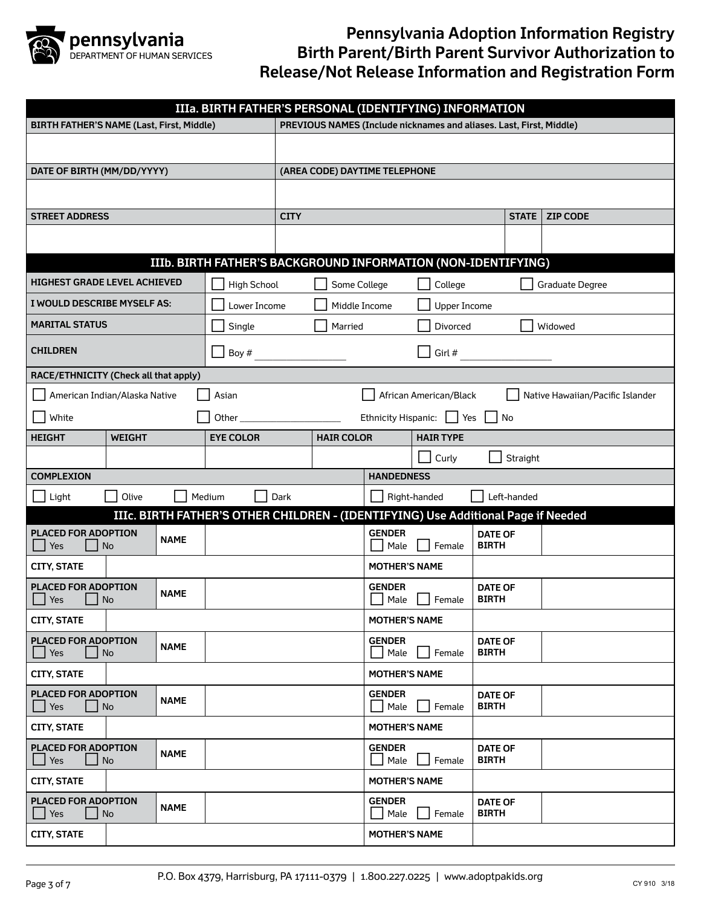

| IIIa. BIRTH FATHER'S PERSONAL (IDENTIFYING) INFORMATION                                              |                  |                                       |                                                                     |                     |                                |                 |  |  |
|------------------------------------------------------------------------------------------------------|------------------|---------------------------------------|---------------------------------------------------------------------|---------------------|--------------------------------|-----------------|--|--|
| <b>BIRTH FATHER'S NAME (Last, First, Middle)</b>                                                     |                  |                                       | PREVIOUS NAMES (Include nicknames and aliases. Last, First, Middle) |                     |                                |                 |  |  |
|                                                                                                      |                  |                                       |                                                                     |                     |                                |                 |  |  |
| DATE OF BIRTH (MM/DD/YYYY)                                                                           |                  | (AREA CODE) DAYTIME TELEPHONE         |                                                                     |                     |                                |                 |  |  |
|                                                                                                      |                  |                                       |                                                                     |                     |                                |                 |  |  |
| <b>STREET ADDRESS</b>                                                                                |                  | <b>CITY</b>                           |                                                                     |                     | <b>STATE</b>                   | <b>ZIP CODE</b> |  |  |
|                                                                                                      |                  |                                       |                                                                     |                     |                                |                 |  |  |
| IIIb. BIRTH FATHER'S BACKGROUND INFORMATION (NON-IDENTIFYING)                                        |                  |                                       |                                                                     |                     |                                |                 |  |  |
| <b>HIGHEST GRADE LEVEL ACHIEVED</b>                                                                  | High School      | Some College                          |                                                                     | College             |                                | Graduate Degree |  |  |
| I WOULD DESCRIBE MYSELF AS:                                                                          | Lower Income     |                                       | Middle Income                                                       | <b>Upper Income</b> |                                |                 |  |  |
| <b>MARITAL STATUS</b>                                                                                | Single           | Married                               |                                                                     | Divorced            |                                | Widowed         |  |  |
| <b>CHILDREN</b>                                                                                      | Boy #            |                                       |                                                                     | Girl #              |                                |                 |  |  |
| RACE/ETHNICITY (Check all that apply)                                                                |                  |                                       |                                                                     |                     |                                |                 |  |  |
| American Indian/Alaska Native<br>Asian<br>African American/Black<br>Native Hawaiian/Pacific Islander |                  |                                       |                                                                     |                     |                                |                 |  |  |
| White                                                                                                | Other            |                                       | Ethnicity Hispanic:   Yes<br>$\vert$ No                             |                     |                                |                 |  |  |
| <b>WEIGHT</b><br><b>HEIGHT</b>                                                                       | <b>EYE COLOR</b> | <b>HAIR TYPE</b><br><b>HAIR COLOR</b> |                                                                     |                     |                                |                 |  |  |
|                                                                                                      |                  |                                       |                                                                     | Curly               | Straight                       |                 |  |  |
| <b>COMPLEXION</b>                                                                                    |                  |                                       | <b>HANDEDNESS</b>                                                   |                     |                                |                 |  |  |
| Olive<br>Medium<br>Light                                                                             |                  | Dark                                  | Right-handed<br>Left-handed                                         |                     |                                |                 |  |  |
| IIIc. BIRTH FATHER'S OTHER CHILDREN - (IDENTIFYING) Use Additional Page if Needed                    |                  |                                       |                                                                     |                     |                                |                 |  |  |
| PLACED FOR ADOPTION<br><b>NAME</b><br>No<br>Yes                                                      |                  |                                       | <b>GENDER</b><br>Male                                               | Female              | <b>DATE OF</b><br><b>BIRTH</b> |                 |  |  |
| <b>CITY, STATE</b>                                                                                   |                  |                                       | <b>MOTHER'S NAME</b>                                                |                     |                                |                 |  |  |
| PLACED FOR ADOPTION<br><b>NAME</b><br>Yes<br>No                                                      |                  |                                       | <b>GENDER</b><br>Male                                               | Female              | <b>DATE OF</b><br><b>BIRTH</b> |                 |  |  |
| <b>CITY, STATE</b>                                                                                   |                  |                                       | <b>MOTHER'S NAME</b>                                                |                     |                                |                 |  |  |
| PLACED FOR ADOPTION<br><b>NAME</b><br>$\Box$ No<br>Yes                                               |                  |                                       | <b>GENDER</b><br>Male                                               | Female              | <b>DATE OF</b><br><b>BIRTH</b> |                 |  |  |
| <b>CITY, STATE</b>                                                                                   |                  |                                       | <b>MOTHER'S NAME</b>                                                |                     |                                |                 |  |  |
| PLACED FOR ADOPTION<br><b>NAME</b><br>No<br>Yes                                                      |                  |                                       | <b>GENDER</b><br>Male                                               | Female              | <b>DATE OF</b><br><b>BIRTH</b> |                 |  |  |
| <b>CITY, STATE</b>                                                                                   |                  | <b>MOTHER'S NAME</b>                  |                                                                     |                     |                                |                 |  |  |
| <b>PLACED FOR ADOPTION</b><br><b>NAME</b><br>Yes<br>No                                               |                  |                                       | <b>GENDER</b><br>Male                                               | Female              | <b>DATE OF</b><br><b>BIRTH</b> |                 |  |  |
| <b>CITY, STATE</b>                                                                                   |                  |                                       | <b>MOTHER'S NAME</b>                                                |                     |                                |                 |  |  |
| PLACED FOR ADOPTION<br><b>NAME</b><br>No<br>Yes                                                      |                  |                                       | <b>GENDER</b><br>Male                                               | Female              | <b>DATE OF</b><br><b>BIRTH</b> |                 |  |  |
| <b>CITY, STATE</b>                                                                                   |                  |                                       | <b>MOTHER'S NAME</b>                                                |                     |                                |                 |  |  |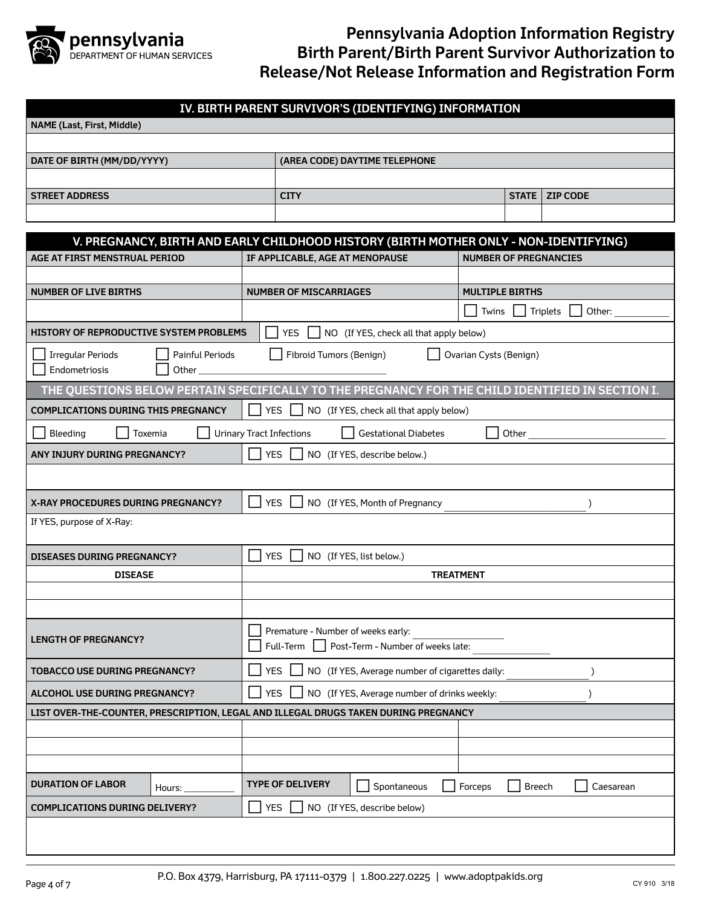

| IV. BIRTH PARENT SURVIVOR'S (IDENTIFYING) INFORMATION                                            |  |                                                               |                                              |                  |                              |                            |  |  |  |  |
|--------------------------------------------------------------------------------------------------|--|---------------------------------------------------------------|----------------------------------------------|------------------|------------------------------|----------------------------|--|--|--|--|
| <b>NAME (Last, First, Middle)</b>                                                                |  |                                                               |                                              |                  |                              |                            |  |  |  |  |
|                                                                                                  |  |                                                               |                                              |                  |                              |                            |  |  |  |  |
| DATE OF BIRTH (MM/DD/YYYY)                                                                       |  |                                                               | (AREA CODE) DAYTIME TELEPHONE                |                  |                              |                            |  |  |  |  |
|                                                                                                  |  |                                                               |                                              |                  |                              |                            |  |  |  |  |
| <b>STREET ADDRESS</b>                                                                            |  | <b>CITY</b>                                                   |                                              |                  | <b>STATE</b>                 | <b>ZIP CODE</b>            |  |  |  |  |
|                                                                                                  |  |                                                               |                                              |                  |                              |                            |  |  |  |  |
| V. PREGNANCY, BIRTH AND EARLY CHILDHOOD HISTORY (BIRTH MOTHER ONLY - NON-IDENTIFYING)            |  |                                                               |                                              |                  |                              |                            |  |  |  |  |
| <b>AGE AT FIRST MENSTRUAL PERIOD</b>                                                             |  | IF APPLICABLE, AGE AT MENOPAUSE                               |                                              |                  | <b>NUMBER OF PREGNANCIES</b> |                            |  |  |  |  |
|                                                                                                  |  |                                                               |                                              |                  |                              |                            |  |  |  |  |
| <b>NUMBER OF LIVE BIRTHS</b>                                                                     |  | <b>NUMBER OF MISCARRIAGES</b>                                 |                                              |                  | <b>MULTIPLE BIRTHS</b>       |                            |  |  |  |  |
|                                                                                                  |  |                                                               |                                              |                  | Twins                        | Triplets<br>Other:         |  |  |  |  |
| HISTORY OF REPRODUCTIVE SYSTEM PROBLEMS                                                          |  | <b>YES</b>                                                    | NO (If YES, check all that apply below)      |                  |                              |                            |  |  |  |  |
| <b>Irregular Periods</b><br>Painful Periods                                                      |  | Fibroid Tumors (Benign)                                       |                                              |                  | Ovarian Cysts (Benign)       |                            |  |  |  |  |
| Endometriosis<br>Other                                                                           |  |                                                               |                                              |                  |                              |                            |  |  |  |  |
| THE QUESTIONS BELOW PERTAIN SPECIFICALLY TO THE PREGNANCY FOR THE CHILD IDENTIFIED IN SECTION I. |  |                                                               |                                              |                  |                              |                            |  |  |  |  |
| <b>COMPLICATIONS DURING THIS PREGNANCY</b>                                                       |  | <b>YES</b>                                                    | NO (If YES, check all that apply below)      |                  |                              |                            |  |  |  |  |
| Bleeding<br>Toxemia                                                                              |  | <b>Urinary Tract Infections</b>                               | <b>Gestational Diabetes</b>                  |                  | Other                        |                            |  |  |  |  |
| ANY INJURY DURING PREGNANCY?                                                                     |  | <b>YES</b>                                                    | NO (If YES, describe below.)                 |                  |                              |                            |  |  |  |  |
|                                                                                                  |  |                                                               |                                              |                  |                              |                            |  |  |  |  |
| <b>X-RAY PROCEDURES DURING PREGNANCY?</b>                                                        |  | <b>YES</b>                                                    | NO (If YES, Month of Pregnancy               |                  |                              | $\lambda$                  |  |  |  |  |
| If YES, purpose of X-Ray:                                                                        |  |                                                               |                                              |                  |                              |                            |  |  |  |  |
| <b>DISEASES DURING PREGNANCY?</b>                                                                |  | <b>YES</b>                                                    | NO (If YES, list below.)                     |                  |                              |                            |  |  |  |  |
| <b>DISEASE</b>                                                                                   |  |                                                               |                                              | <b>TREATMENT</b> |                              |                            |  |  |  |  |
|                                                                                                  |  |                                                               |                                              |                  |                              |                            |  |  |  |  |
|                                                                                                  |  |                                                               |                                              |                  |                              |                            |  |  |  |  |
| <b>LENGTH OF PREGNANCY?</b>                                                                      |  | Premature - Number of weeks early:<br>Full-Term               | Post-Term - Number of weeks late:            |                  |                              |                            |  |  |  |  |
| <b>TOBACCO USE DURING PREGNANCY?</b>                                                             |  | <b>YES</b><br>NO (If YES, Average number of cigarettes daily: |                                              |                  |                              |                            |  |  |  |  |
| <b>ALCOHOL USE DURING PREGNANCY?</b>                                                             |  | <b>YES</b>                                                    | NO (If YES, Average number of drinks weekly: |                  |                              |                            |  |  |  |  |
| LIST OVER-THE-COUNTER, PRESCRIPTION, LEGAL AND ILLEGAL DRUGS TAKEN DURING PREGNANCY              |  |                                                               |                                              |                  |                              |                            |  |  |  |  |
|                                                                                                  |  |                                                               |                                              |                  |                              |                            |  |  |  |  |
|                                                                                                  |  |                                                               |                                              |                  |                              |                            |  |  |  |  |
|                                                                                                  |  |                                                               |                                              |                  |                              |                            |  |  |  |  |
| <b>DURATION OF LABOR</b><br>Hours:                                                               |  | <b>TYPE OF DELIVERY</b>                                       | Spontaneous                                  | Forceps          |                              | <b>Breech</b><br>Caesarean |  |  |  |  |
| <b>COMPLICATIONS DURING DELIVERY?</b>                                                            |  | <b>YES</b>                                                    | NO (If YES, describe below)                  |                  |                              |                            |  |  |  |  |
|                                                                                                  |  |                                                               |                                              |                  |                              |                            |  |  |  |  |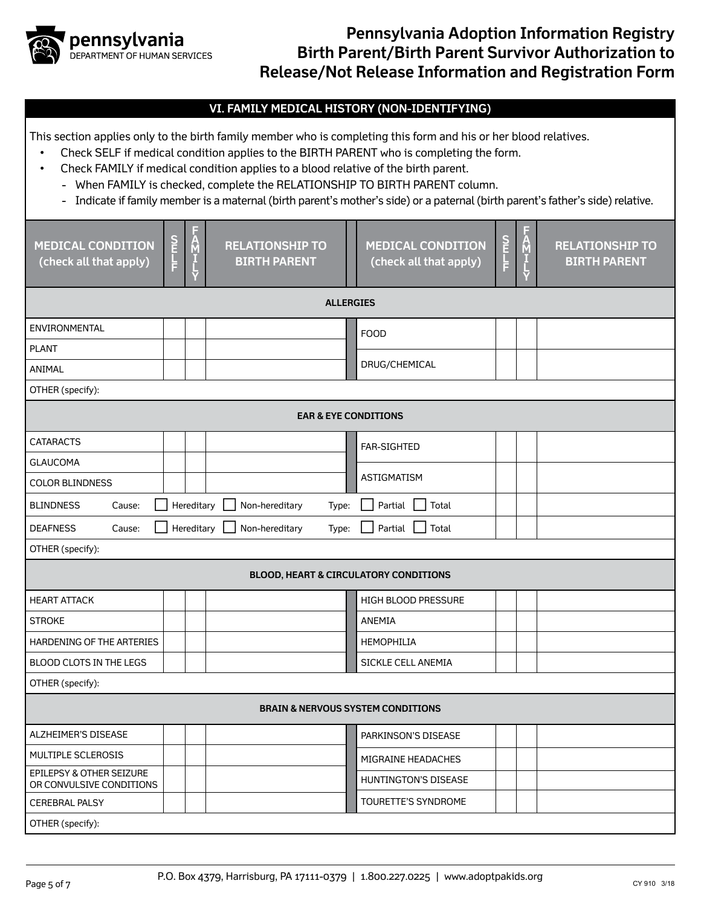

#### **VI. FAMILY MEDICAL HISTORY (NON-IDENTIFYING)**

This section applies only to the birth family member who is completing this form and his or her blood relatives.

- Check SELF if medical condition applies to the BIRTH PARENT who is completing the form.
- Check FAMILY if medical condition applies to a blood relative of the birth parent.
	- When FAMILY is checked, complete the RELATIONSHIP TO BIRTH PARENT column.
	- Indicate if family member is a maternal (birth parent's mother's side) or a paternal (birth parent's father's side) relative.

| <b>MEDICAL CONDITION</b><br>(check all that apply)                                      | <b>DELET</b>     | $\frac{A}{M}$<br>ť | <b>RELATIONSHIP TO</b><br><b>BIRTH PARENT</b> | <b>S</b><br>THE FILE<br><u>M</u><br><b>MEDICAL CONDITION</b><br><b>RELATIONSHIP TO</b><br>(check all that apply)<br><b>BIRTH PARENT</b> |  |  |  |  |  |
|-----------------------------------------------------------------------------------------|------------------|--------------------|-----------------------------------------------|-----------------------------------------------------------------------------------------------------------------------------------------|--|--|--|--|--|
|                                                                                         | <b>ALLERGIES</b> |                    |                                               |                                                                                                                                         |  |  |  |  |  |
| <b>ENVIRONMENTAL</b>                                                                    |                  |                    |                                               | <b>FOOD</b>                                                                                                                             |  |  |  |  |  |
| <b>PLANT</b>                                                                            |                  |                    |                                               |                                                                                                                                         |  |  |  |  |  |
| ANIMAL                                                                                  |                  |                    |                                               | DRUG/CHEMICAL                                                                                                                           |  |  |  |  |  |
| OTHER (specify):                                                                        |                  |                    |                                               |                                                                                                                                         |  |  |  |  |  |
|                                                                                         |                  |                    | <b>EAR &amp; EYE CONDITIONS</b>               |                                                                                                                                         |  |  |  |  |  |
| <b>CATARACTS</b>                                                                        |                  |                    |                                               | <b>FAR-SIGHTED</b>                                                                                                                      |  |  |  |  |  |
| <b>GLAUCOMA</b>                                                                         |                  |                    |                                               |                                                                                                                                         |  |  |  |  |  |
| <b>ASTIGMATISM</b><br><b>COLOR BLINDNESS</b>                                            |                  |                    |                                               |                                                                                                                                         |  |  |  |  |  |
| Hereditary<br>Non-hereditary<br>Partial<br>Total<br><b>BLINDNESS</b><br>Type:<br>Cause: |                  |                    |                                               |                                                                                                                                         |  |  |  |  |  |
| <b>DEAFNESS</b><br>Cause:                                                               |                  | Hereditary         | Non-hereditary<br>Type:                       | Partial<br>Total                                                                                                                        |  |  |  |  |  |
| OTHER (specify):                                                                        |                  |                    |                                               |                                                                                                                                         |  |  |  |  |  |
| <b>BLOOD, HEART &amp; CIRCULATORY CONDITIONS</b>                                        |                  |                    |                                               |                                                                                                                                         |  |  |  |  |  |
| <b>HEART ATTACK</b>                                                                     |                  |                    |                                               | HIGH BLOOD PRESSURE                                                                                                                     |  |  |  |  |  |
| <b>STROKE</b>                                                                           |                  |                    |                                               | <b>ANEMIA</b>                                                                                                                           |  |  |  |  |  |
| HARDENING OF THE ARTERIES                                                               |                  |                    |                                               | HEMOPHILIA                                                                                                                              |  |  |  |  |  |
| BLOOD CLOTS IN THE LEGS                                                                 |                  |                    |                                               | SICKLE CELL ANEMIA                                                                                                                      |  |  |  |  |  |
| OTHER (specify):                                                                        |                  |                    |                                               |                                                                                                                                         |  |  |  |  |  |
| <b>BRAIN &amp; NERVOUS SYSTEM CONDITIONS</b>                                            |                  |                    |                                               |                                                                                                                                         |  |  |  |  |  |
| ALZHEIMER'S DISEASE                                                                     |                  |                    |                                               | PARKINSON'S DISEASE                                                                                                                     |  |  |  |  |  |
| MULTIPLE SCLEROSIS                                                                      |                  |                    |                                               | MIGRAINE HEADACHES                                                                                                                      |  |  |  |  |  |
| EPILEPSY & OTHER SEIZURE<br>OR CONVULSIVE CONDITIONS                                    |                  |                    |                                               | HUNTINGTON'S DISEASE                                                                                                                    |  |  |  |  |  |
| <b>CEREBRAL PALSY</b>                                                                   |                  |                    |                                               | TOURETTE'S SYNDROME                                                                                                                     |  |  |  |  |  |
| OTHER (specify):                                                                        |                  |                    |                                               |                                                                                                                                         |  |  |  |  |  |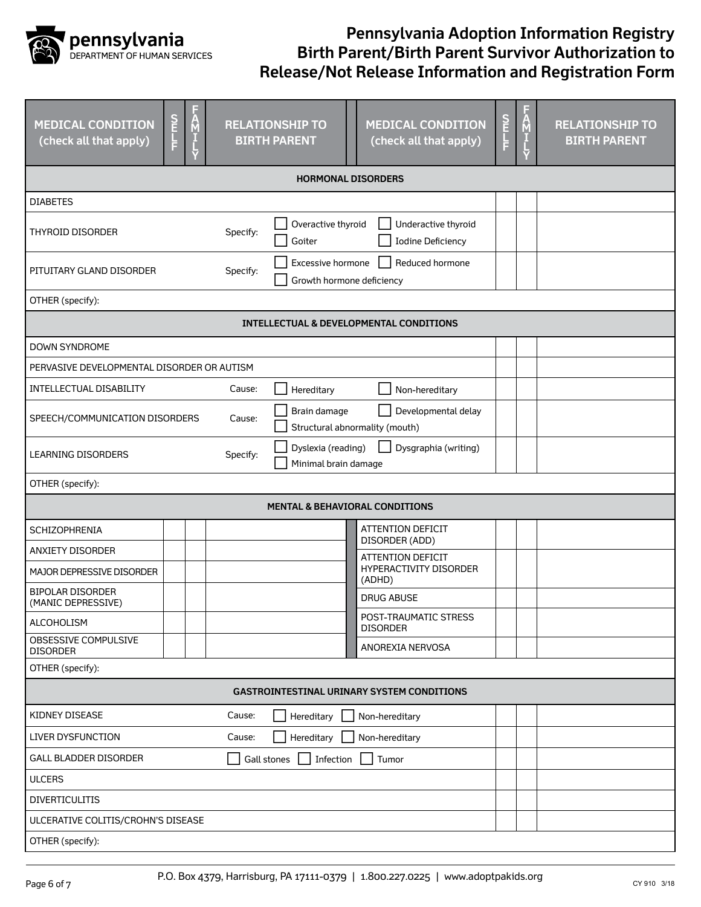

| $\frac{S}{T}$<br><b>MEDICAL CONDITION</b><br>(check all that apply)                                               | F<br>A<br>I<br>L                  | <b>RELATIONSHIP TO</b><br><b>BIRTH PARENT</b>  | <b>MEDICAL CONDITION</b><br>(check all that apply) | <b>S<br/>FLF</b> | Ą | <b>RELATIONSHIP TO</b><br><b>BIRTH PARENT</b> |  |
|-------------------------------------------------------------------------------------------------------------------|-----------------------------------|------------------------------------------------|----------------------------------------------------|------------------|---|-----------------------------------------------|--|
|                                                                                                                   |                                   | <b>HORMONAL DISORDERS</b>                      |                                                    |                  |   |                                               |  |
| <b>DIABETES</b>                                                                                                   |                                   |                                                |                                                    |                  |   |                                               |  |
| <b>THYROID DISORDER</b>                                                                                           | Specify:                          | Overactive thyroid<br>Goiter                   | Underactive thyroid<br><b>Iodine Deficiency</b>    |                  |   |                                               |  |
| PITUITARY GLAND DISORDER                                                                                          | Specify:                          | Excessive hormone<br>Growth hormone deficiency | Reduced hormone                                    |                  |   |                                               |  |
| OTHER (specify):                                                                                                  |                                   |                                                |                                                    |                  |   |                                               |  |
|                                                                                                                   |                                   |                                                | <b>INTELLECTUAL &amp; DEVELOPMENTAL CONDITIONS</b> |                  |   |                                               |  |
| <b>DOWN SYNDROME</b>                                                                                              |                                   |                                                |                                                    |                  |   |                                               |  |
| PERVASIVE DEVELOPMENTAL DISORDER OR AUTISM                                                                        |                                   |                                                |                                                    |                  |   |                                               |  |
| INTELLECTUAL DISABILITY                                                                                           | Cause:                            | Hereditary                                     | Non-hereditary                                     |                  |   |                                               |  |
| Developmental delay<br>Brain damage<br>SPEECH/COMMUNICATION DISORDERS<br>Cause:<br>Structural abnormality (mouth) |                                   |                                                |                                                    |                  |   |                                               |  |
| Dyslexia (reading)<br>Dysgraphia (writing)<br><b>LEARNING DISORDERS</b><br>Specify:<br>Minimal brain damage       |                                   |                                                |                                                    |                  |   |                                               |  |
| OTHER (specify):                                                                                                  |                                   |                                                |                                                    |                  |   |                                               |  |
| <b>MENTAL &amp; BEHAVIORAL CONDITIONS</b>                                                                         |                                   |                                                |                                                    |                  |   |                                               |  |
| SCHIZOPHRENIA                                                                                                     |                                   |                                                | <b>ATTENTION DEFICIT</b><br>DISORDER (ADD)         |                  |   |                                               |  |
| <b>ANXIETY DISORDER</b>                                                                                           |                                   |                                                | <b>ATTENTION DEFICIT</b>                           |                  |   |                                               |  |
| MAJOR DEPRESSIVE DISORDER                                                                                         |                                   |                                                | HYPERACTIVITY DISORDER<br>(ADHD)                   |                  |   |                                               |  |
| <b>BIPOLAR DISORDER</b><br>(MANIC DEPRESSIVE)                                                                     |                                   |                                                | <b>DRUG ABUSE</b>                                  |                  |   |                                               |  |
| ALCOHOLISM                                                                                                        |                                   |                                                | POST-TRAUMATIC STRESS<br><b>DISORDER</b>           |                  |   |                                               |  |
| OBSESSIVE COMPULSIVE<br><b>DISORDER</b>                                                                           |                                   |                                                | ANOREXIA NERVOSA                                   |                  |   |                                               |  |
| OTHER (specify):                                                                                                  |                                   |                                                |                                                    |                  |   |                                               |  |
|                                                                                                                   |                                   |                                                | <b>GASTROINTESTINAL URINARY SYSTEM CONDITIONS</b>  |                  |   |                                               |  |
| KIDNEY DISEASE                                                                                                    | Cause:                            | Hereditary                                     | Non-hereditary                                     |                  |   |                                               |  |
| <b>LIVER DYSFUNCTION</b><br>Cause:<br>Hereditary<br>Non-hereditary                                                |                                   |                                                |                                                    |                  |   |                                               |  |
| <b>GALL BLADDER DISORDER</b>                                                                                      | Infection<br>Tumor<br>Gall stones |                                                |                                                    |                  |   |                                               |  |
| <b>ULCERS</b>                                                                                                     |                                   |                                                |                                                    |                  |   |                                               |  |
| <b>DIVERTICULITIS</b>                                                                                             |                                   |                                                |                                                    |                  |   |                                               |  |
| ULCERATIVE COLITIS/CROHN'S DISEASE                                                                                |                                   |                                                |                                                    |                  |   |                                               |  |
| OTHER (specify):                                                                                                  |                                   |                                                |                                                    |                  |   |                                               |  |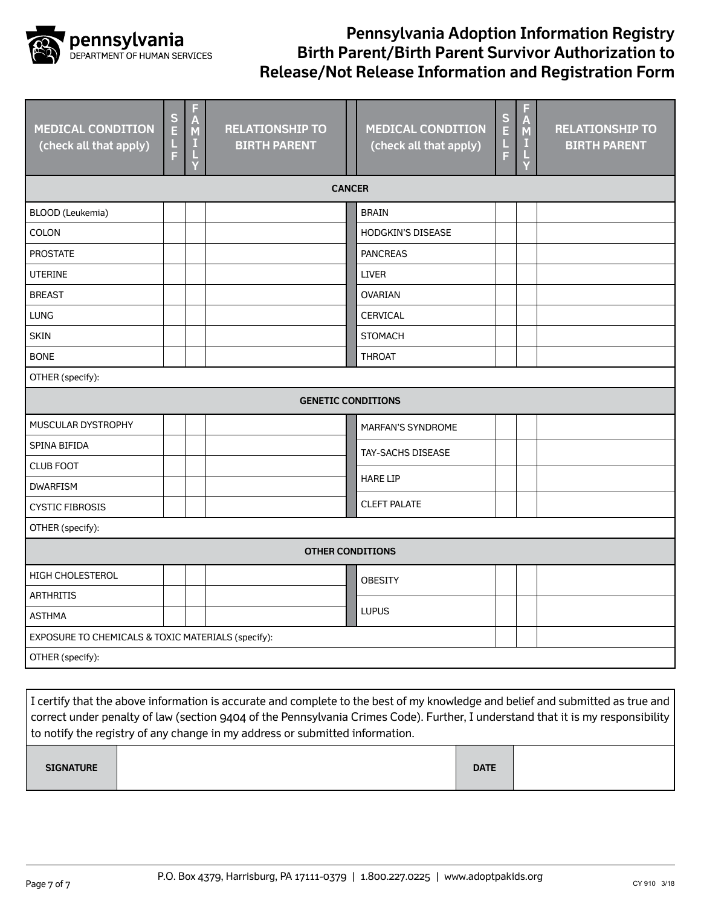

| <b>MEDICAL CONDITION</b><br>(check all that apply) | $\overline{\mathsf{E}}$<br>$\frac{1}{F}$ | F<br>$\mathsf{A}_{\mathsf{M}}$<br>H | <b>RELATIONSHIP TO</b><br><b>BIRTH PARENT</b> |  | <b>MEDICAL CONDITION</b><br>(check all that apply) | $\frac{\mathsf{S}}{\mathsf{E}}$<br>l.<br>F | F<br>A<br>M<br>И | <b>RELATIONSHIP TO</b><br><b>BIRTH PARENT</b> |  |
|----------------------------------------------------|------------------------------------------|-------------------------------------|-----------------------------------------------|--|----------------------------------------------------|--------------------------------------------|------------------|-----------------------------------------------|--|
| <b>CANCER</b>                                      |                                          |                                     |                                               |  |                                                    |                                            |                  |                                               |  |
| <b>BLOOD</b> (Leukemia)                            |                                          |                                     |                                               |  | <b>BRAIN</b>                                       |                                            |                  |                                               |  |
| COLON                                              |                                          |                                     |                                               |  | HODGKIN'S DISEASE                                  |                                            |                  |                                               |  |
| <b>PROSTATE</b>                                    |                                          |                                     |                                               |  | <b>PANCREAS</b>                                    |                                            |                  |                                               |  |
| <b>UTERINE</b>                                     |                                          |                                     |                                               |  | <b>LIVER</b>                                       |                                            |                  |                                               |  |
| <b>BREAST</b>                                      |                                          |                                     |                                               |  | <b>OVARIAN</b>                                     |                                            |                  |                                               |  |
| <b>LUNG</b>                                        |                                          |                                     |                                               |  | CERVICAL                                           |                                            |                  |                                               |  |
| <b>SKIN</b>                                        |                                          |                                     |                                               |  | <b>STOMACH</b>                                     |                                            |                  |                                               |  |
| <b>BONE</b>                                        |                                          |                                     |                                               |  | <b>THROAT</b>                                      |                                            |                  |                                               |  |
| OTHER (specify):                                   |                                          |                                     |                                               |  |                                                    |                                            |                  |                                               |  |
|                                                    | <b>GENETIC CONDITIONS</b>                |                                     |                                               |  |                                                    |                                            |                  |                                               |  |
| MUSCULAR DYSTROPHY                                 |                                          |                                     |                                               |  | MARFAN'S SYNDROME                                  |                                            |                  |                                               |  |
| <b>SPINA BIFIDA</b>                                |                                          |                                     |                                               |  | TAY-SACHS DISEASE                                  |                                            |                  |                                               |  |
| <b>CLUB FOOT</b>                                   |                                          |                                     |                                               |  |                                                    |                                            |                  |                                               |  |
| <b>DWARFISM</b>                                    |                                          |                                     |                                               |  | <b>HARE LIP</b>                                    |                                            |                  |                                               |  |
| <b>CYSTIC FIBROSIS</b>                             |                                          |                                     |                                               |  | <b>CLEFT PALATE</b>                                |                                            |                  |                                               |  |
| OTHER (specify):                                   |                                          |                                     |                                               |  |                                                    |                                            |                  |                                               |  |
| <b>OTHER CONDITIONS</b>                            |                                          |                                     |                                               |  |                                                    |                                            |                  |                                               |  |
| <b>HIGH CHOLESTEROL</b>                            |                                          |                                     |                                               |  | <b>OBESITY</b>                                     |                                            |                  |                                               |  |
| <b>ARTHRITIS</b>                                   |                                          |                                     |                                               |  |                                                    |                                            |                  |                                               |  |
| <b>ASTHMA</b>                                      |                                          |                                     |                                               |  | <b>LUPUS</b>                                       |                                            |                  |                                               |  |
| EXPOSURE TO CHEMICALS & TOXIC MATERIALS (specify): |                                          |                                     |                                               |  |                                                    |                                            |                  |                                               |  |
| OTHER (specify):                                   |                                          |                                     |                                               |  |                                                    |                                            |                  |                                               |  |
|                                                    |                                          |                                     |                                               |  |                                                    |                                            |                  |                                               |  |

| I certify that the above information is accurate and complete to the best of my knowledge and belief and submitted as true and  |  |             |  |  |  |  |  |
|---------------------------------------------------------------------------------------------------------------------------------|--|-------------|--|--|--|--|--|
| correct under penalty of law (section 9404 of the Pennsylvania Crimes Code). Further, I understand that it is my responsibility |  |             |  |  |  |  |  |
| to notify the registry of any change in my address or submitted information.                                                    |  |             |  |  |  |  |  |
|                                                                                                                                 |  |             |  |  |  |  |  |
| <b>SIGNATURE</b>                                                                                                                |  | <b>DATE</b> |  |  |  |  |  |